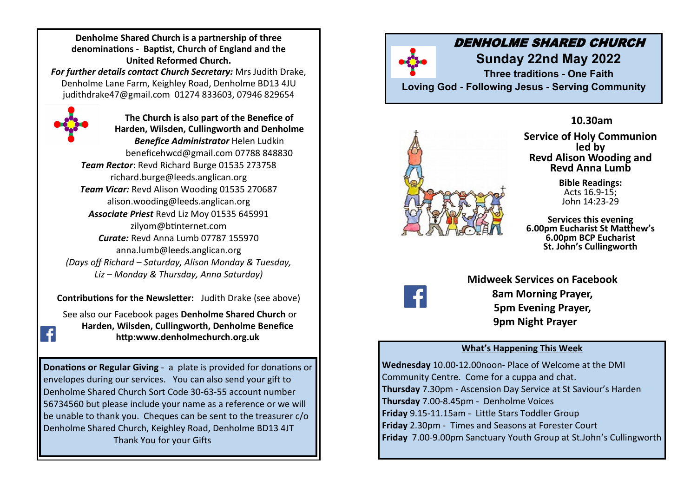**Denholme Shared Church is a partnership of three denominations - Baptist, Church of England and the United Reformed Church.** 

*For further details contact Church Secretary:* Mrs Judith Drake, Denholme Lane Farm, Keighley Road, Denholme BD13 4JU judithdrake47@gmail.com 01274 833603, 07946 829654



**The Church is also part of the Benefice of Harden, Wilsden, Cullingworth and Denholme**  *Benefice Administrator* Helen Ludkin beneficehwcd@gmail.com 07788 848830 *Team Rector*: Revd Richard Burge 01535 273758 richard.burge@leeds.anglican.org *Team Vicar:* Revd Alison Wooding 01535 270687 alison.wooding@leeds.anglican.org *Associate Priest* Revd Liz Moy 01535 645991 zilyom@btinternet.com *Curate:* Revd Anna Lumb 07787 155970 anna.lumb@leeds.anglican.org *(Days off Richard – Saturday, Alison Monday & Tuesday, Liz – Monday & Thursday, Anna Saturday)*

**Contributions for the Newsletter:** Judith Drake (see above)

See also our Facebook pages **Denholme Shared Church** or **Harden, Wilsden, Cullingworth, Denholme Benefice http:www.denholmechurch.org.uk**

**Donations or Regular Giving** - a plate is provided for donations or envelopes during our services. You can also send your gift to Denholme Shared Church Sort Code 30-63-55 account number 56734560 but please include your name as a reference or we will be unable to thank you. Cheques can be sent to the treasurer  $c/\sigma$ Denholme Shared Church, Keighley Road, Denholme BD13 4JT Thank You for your Gifts

# DENHOLME SHARED CHURCH

**Sunday 22nd May 2022 Three traditions - One Faith Loving God - Following Jesus - Serving Community**



**10.30am Service of Holy Communion led by Revd Alison Wooding and Revd Anna Lumb**

> **Bible Readings:** Acts 16.9-15; John 14:23-29

**Services this evening 6.00pm Eucharist St Matthew's 6.00pm BCP Eucharist St. John's Cullingworth** 



**Midweek Services on Facebook 8am Morning Prayer, 5pm Evening Prayer, 9pm Night Prayer**

## **What's Happening This Week**

**Wednesday** 10.00-12.00noon- Place of Welcome at the DMI Community Centre. Come for a cuppa and chat. **Thursday** 7.30pm - Ascension Day Service at St Saviour's Harden **Thursday** 7.00-8.45pm - Denholme Voices **Friday** 9.15-11.15am - Little Stars Toddler Group **Friday** 2.30pm - Times and Seasons at Forester Court **Friday** 7.00-9.00pm Sanctuary Youth Group at St.John's Cullingworth